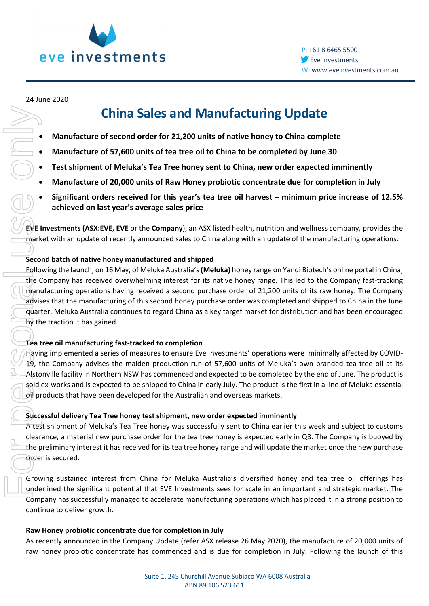

#### 24 June 2020

# **China Sales and Manufacturing Update**

- **Manufacture of second order for 21,200 units of native honey to China complete**
- **Manufacture of 57,600 units of tea tree oil to China to be completed by June 30**
- **Test shipment of Meluka's Tea Tree honey sent to China, new order expected imminently**
- **Manufacture of 20,000 units of Raw Honey probiotic concentrate due for completion in July**
- **Significant orders received for this year's tea tree oil harvest – minimum price increase of 12.5% achieved on last year's average sales price**

**EVE Investments (ASX:EVE, EVE** or the **Company**), an ASX listed health, nutrition and wellness company, provides the market with an update of recently announced sales to China along with an update of the manufacturing operations.

### **Second batch of native honey manufactured and shipped**

Following the launch, on 16 May, of Meluka Australia's **(Meluka)** honey range on Yandi Biotech's online portal in China, the Company has received overwhelming interest for its native honey range. This led to the Company fast-tracking manufacturing operations having received a second purchase order of 21,200 units of its raw honey. The Company advises that the manufacturing of this second honey purchase order was completed and shipped to China in the June quarter. Meluka Australia continues to regard China as a key target market for distribution and has been encouraged by the traction it has gained. China Sales and Manufacturing Update<br>
• Manufacture of scool of order for 21,200 units of native those to China complete<br>
• Manufacture of 25,560 units of the tree oll to this to the complete by june 80<br>
• Test stilpment

### **Tea tree oil manufacturing fast-tracked to completion**

Having implemented a series of measures to ensure Eve Investments' operations were minimally affected by COVID-19, the Company advises the maiden production run of 57,600 units of Meluka's own branded tea tree oil at its Alstonville facility in Northern NSW has commenced and expected to be completed by the end of June. The product is sold ex-works and is expected to be shipped to China in early July. The product is the first in a line of Meluka essential oil products that have been developed for the Australian and overseas markets.

### **Successful delivery Tea Tree honey test shipment, new order expected imminently**

A test shipment of Meluka's Tea Tree honey was successfully sent to China earlier this week and subject to customs clearance, a material new purchase order for the tea tree honey is expected early in Q3. The Company is buoyed by the preliminary interest it has received for its tea tree honey range and will update the market once the new purchase order is secured.

Growing sustained interest from China for Meluka Australia's diversified honey and tea tree oil offerings has underlined the significant potential that EVE Investments sees for scale in an important and strategic market. The Company has successfully managed to accelerate manufacturing operations which has placed it in a strong position to continue to deliver growth.

### **Raw Honey probiotic concentrate due for completion in July**

As recently announced in the Company Update (refer ASX release 26 May 2020), the manufacture of 20,000 units of